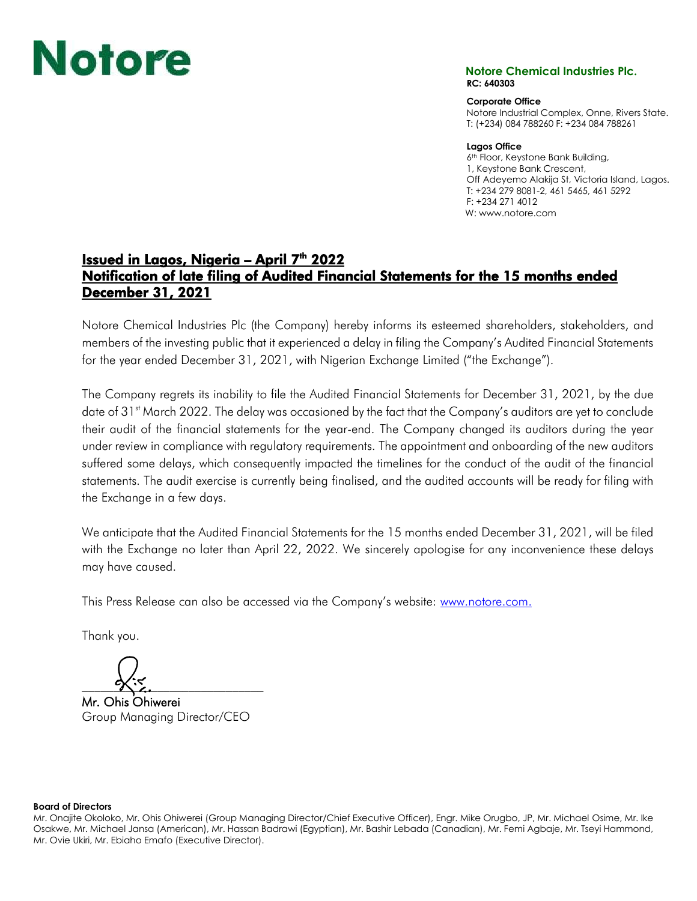# **Notore Chemical Industries Plc.**

## **RC: 640303**

**Corporate Office**

Notore Industrial Complex, Onne, Rivers State. T: (+234) 084 788260 F: +234 084 788261

#### **Lagos Office**

6<sup>th</sup> Floor, Keystone Bank Building, 1, Keystone Bank Crescent, Off Adeyemo Alakija St, Victoria Island, Lagos. T: +234 279 8081-2, 461 5465, 461 5292 F: +234 271 4012 W: www.notore.com

### Issued in Lagos, Nigeria – April  $7<sup>th</sup>$  2022 Notification of late filing of Audited Financial Statements for the 15 months ended December 31, 2021

Notore Chemical Industries Plc (the Company) hereby informs its esteemed shareholders, stakeholders, and members of the investing public that it experienced a delay in filing the Company's Audited Financial Statements for the year ended December 31, 2021, with Nigerian Exchange Limited ("the Exchange").

The Company regrets its inability to file the Audited Financial Statements for December 31, 2021, by the due date of  $31<sup>st</sup>$  March 2022. The delay was occasioned by the fact that the Company's auditors are yet to conclude their audit of the financial statements for the year-end. The Company changed its auditors during the year under review in compliance with regulatory requirements. The appointment and onboarding of the new auditors suffered some delays, which consequently impacted the timelines for the conduct of the audit of the financial statements. The audit exercise is currently being finalised, and the audited accounts will be ready for filing with the Exchange in a few days.

We anticipate that the Audited Financial Statements for the 15 months ended December 31, 2021, will be filed with the Exchange no later than April 22, 2022. We sincerely apologise for any inconvenience these delays may have caused.

This Press Release can also be accessed via the Company's website: [www.notore.com.](http://www.notore.com/)

Thank you.

 $\alpha$ 

Mr. Ohis Ohiwerei Group Managing Director/CEO

#### **Board of Directors**

Mr. Onajite Okoloko, Mr. Ohis Ohiwerei (Group Managing Director/Chief Executive Officer), Engr. Mike Orugbo, JP, Mr. Michael Osime, Mr. Ike Osakwe, Mr. Michael Jansa (American), Mr. Hassan Badrawi (Egyptian), Mr. Bashir Lebada (Canadian), Mr. Femi Agbaje, Mr. Tseyi Hammond, Mr. Ovie Ukiri, Mr. Ebiaho Emafo (Executive Director).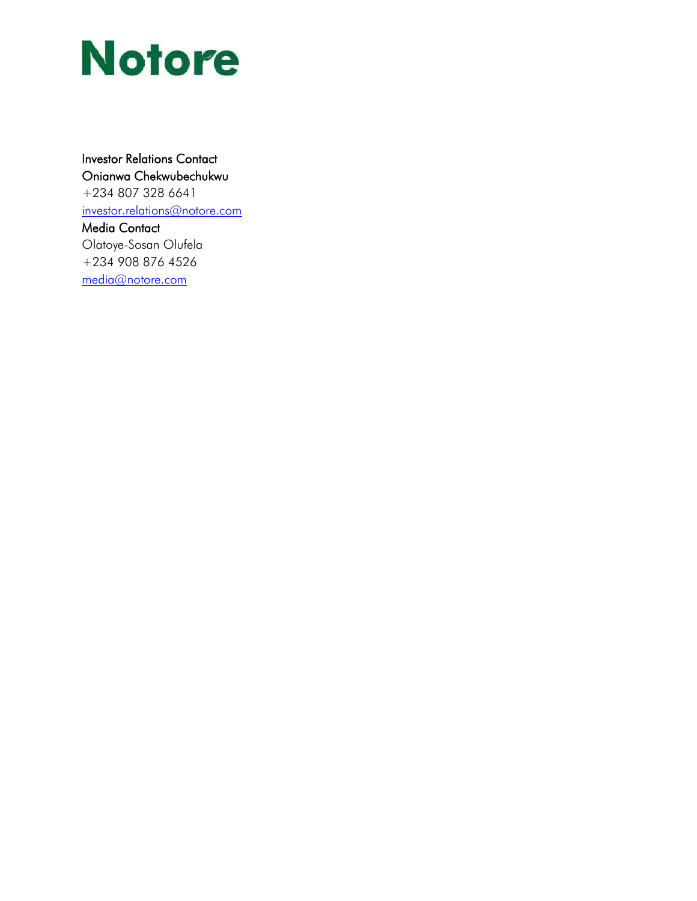# **Notore**

### Investor Relations Contact Onianwa Chekwubechukwu

+234 807 328 6641 [investor.relations@notore.com](mailto:investor.relations@notore.com) Media Contact Olatoye-Sosan Olufela

+234 908 876 4526 [media@notore.com](mailto:media@notore.com)